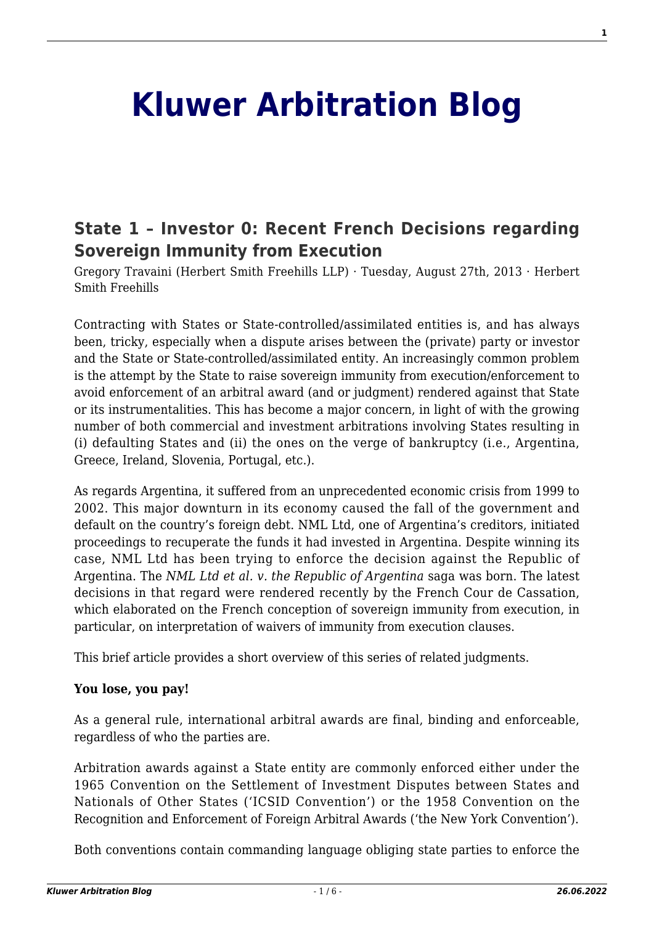# **[Kluwer Arbitration Blog](http://arbitrationblog.kluwerarbitration.com/)**

## **[State 1 – Investor 0: Recent French Decisions regarding](http://arbitrationblog.kluwerarbitration.com/2013/08/27/state-1-investor-0-recent-french-decisions-regarding-sovereign-immunity-from-execution/) [Sovereign Immunity from Execution](http://arbitrationblog.kluwerarbitration.com/2013/08/27/state-1-investor-0-recent-french-decisions-regarding-sovereign-immunity-from-execution/)**

Gregory Travaini (Herbert Smith Freehills LLP) · Tuesday, August 27th, 2013 · Herbert Smith Freehills

Contracting with States or State-controlled/assimilated entities is, and has always been, tricky, especially when a dispute arises between the (private) party or investor and the State or State-controlled/assimilated entity. An increasingly common problem is the attempt by the State to raise sovereign immunity from execution/enforcement to avoid enforcement of an arbitral award (and or judgment) rendered against that State or its instrumentalities. This has become a major concern, in light of with the growing number of both commercial and investment arbitrations involving States resulting in (i) defaulting States and (ii) the ones on the verge of bankruptcy (i.e., Argentina, Greece, Ireland, Slovenia, Portugal, etc.).

As regards Argentina, it suffered from an unprecedented economic crisis from 1999 to 2002. This major downturn in its economy caused the fall of the government and default on the country's foreign debt. NML Ltd, one of Argentina's creditors, initiated proceedings to recuperate the funds it had invested in Argentina. Despite winning its case, NML Ltd has been trying to enforce the decision against the Republic of Argentina. The *NML Ltd et al. v. the Republic of Argentina* saga was born. The latest decisions in that regard were rendered recently by the French Cour de Cassation, which elaborated on the French conception of sovereign immunity from execution, in particular, on interpretation of waivers of immunity from execution clauses.

This brief article provides a short overview of this series of related judgments.

#### **You lose, you pay!**

As a general rule, international arbitral awards are final, binding and enforceable, regardless of who the parties are.

Arbitration awards against a State entity are commonly enforced either under the 1965 Convention on the Settlement of Investment Disputes between States and Nationals of Other States ('ICSID Convention') or the 1958 Convention on the Recognition and Enforcement of Foreign Arbitral Awards ('the New York Convention').

Both conventions contain commanding language obliging state parties to enforce the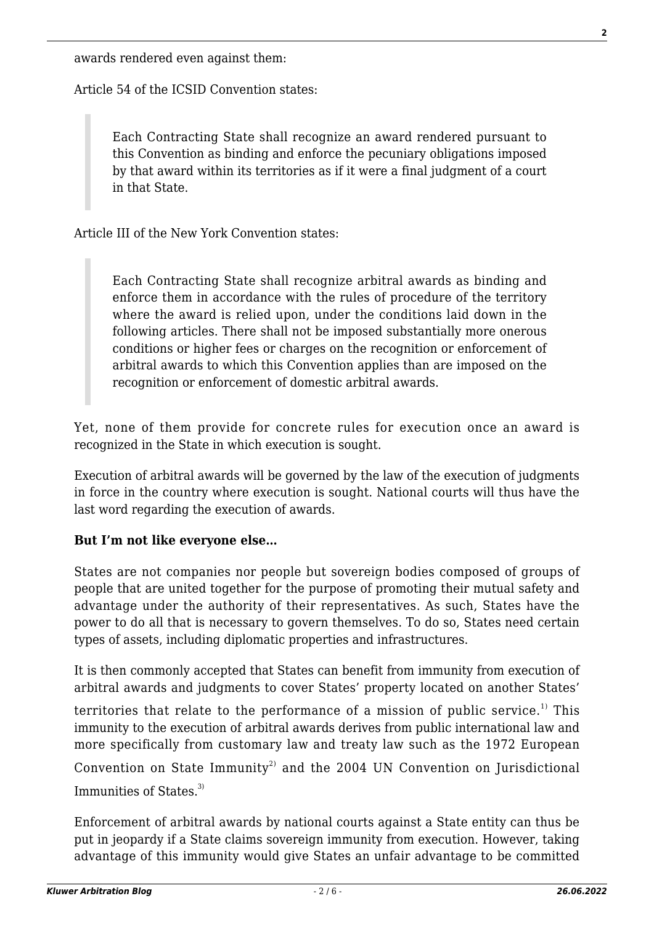Article 54 of the ICSID Convention states:

Each Contracting State shall recognize an award rendered pursuant to this Convention as binding and enforce the pecuniary obligations imposed by that award within its territories as if it were a final judgment of a court in that State.

Article III of the New York Convention states:

Each Contracting State shall recognize arbitral awards as binding and enforce them in accordance with the rules of procedure of the territory where the award is relied upon, under the conditions laid down in the following articles. There shall not be imposed substantially more onerous conditions or higher fees or charges on the recognition or enforcement of arbitral awards to which this Convention applies than are imposed on the recognition or enforcement of domestic arbitral awards.

Yet, none of them provide for concrete rules for execution once an award is recognized in the State in which execution is sought.

Execution of arbitral awards will be governed by the law of the execution of judgments in force in the country where execution is sought. National courts will thus have the last word regarding the execution of awards.

#### **But I'm not like everyone else…**

States are not companies nor people but sovereign bodies composed of groups of people that are united together for the purpose of promoting their mutual safety and advantage under the authority of their representatives. As such, States have the power to do all that is necessary to govern themselves. To do so, States need certain types of assets, including diplomatic properties and infrastructures.

It is then commonly accepted that States can benefit from immunity from execution of arbitral awards and judgments to cover States' property located on another States'

territories that relate to the performance of a mission of public service.<sup>1)</sup> This immunity to the execution of arbitral awards derives from public international law and more specifically from customary law and treaty law such as the 1972 European

Convention on State Immunity<sup>2)</sup> and the 2004 UN Convention on Jurisdictional Immunities of States.<sup>3)</sup>

Enforcement of arbitral awards by national courts against a State entity can thus be put in jeopardy if a State claims sovereign immunity from execution. However, taking advantage of this immunity would give States an unfair advantage to be committed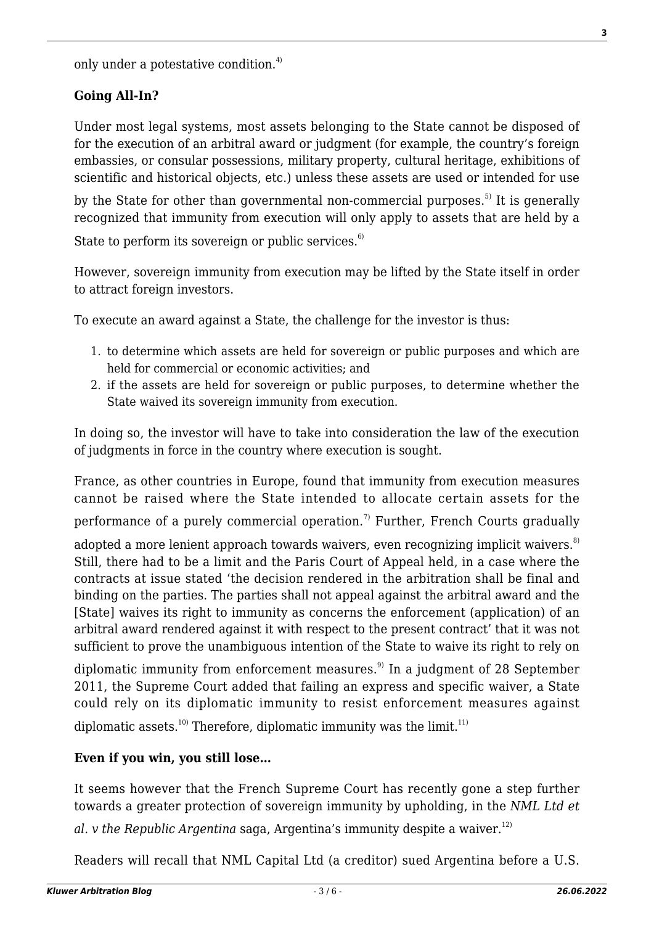only under a potestative condition.<sup>4)</sup>

### **Going All-In?**

Under most legal systems, most assets belonging to the State cannot be disposed of for the execution of an arbitral award or judgment (for example, the country's foreign embassies, or consular possessions, military property, cultural heritage, exhibitions of scientific and historical objects, etc.) unless these assets are used or intended for use

by the State for other than governmental non-commercial purposes.<sup>5)</sup> It is generally recognized that immunity from execution will only apply to assets that are held by a

State to perform its sovereign or public services. $6$ 

However, sovereign immunity from execution may be lifted by the State itself in order to attract foreign investors.

To execute an award against a State, the challenge for the investor is thus:

- 1. to determine which assets are held for sovereign or public purposes and which are held for commercial or economic activities; and
- 2. if the assets are held for sovereign or public purposes, to determine whether the State waived its sovereign immunity from execution.

In doing so, the investor will have to take into consideration the law of the execution of judgments in force in the country where execution is sought.

France, as other countries in Europe, found that immunity from execution measures cannot be raised where the State intended to allocate certain assets for the

performance of a purely commercial operation.<sup>7)</sup> Further, French Courts gradually

adopted a more lenient approach towards waivers, even recognizing implicit waivers.<sup>8)</sup> Still, there had to be a limit and the Paris Court of Appeal held, in a case where the contracts at issue stated 'the decision rendered in the arbitration shall be final and binding on the parties. The parties shall not appeal against the arbitral award and the [State] waives its right to immunity as concerns the enforcement (application) of an arbitral award rendered against it with respect to the present contract' that it was not sufficient to prove the unambiguous intention of the State to waive its right to rely on

diplomatic immunity from enforcement measures.<sup>9)</sup> In a judgment of 28 September 2011, the Supreme Court added that failing an express and specific waiver, a State could rely on its diplomatic immunity to resist enforcement measures against

diplomatic assets.<sup>10)</sup> Therefore, diplomatic immunity was the limit.<sup>11)</sup>

#### **Even if you win, you still lose…**

It seems however that the French Supreme Court has recently gone a step further towards a greater protection of sovereign immunity by upholding, in the *NML Ltd et*

*al.* v the Republic Argenting saga, Argentina's immunity despite a waiver.<sup>12)</sup>

Readers will recall that NML Capital Ltd (a creditor) sued Argentina before a U.S.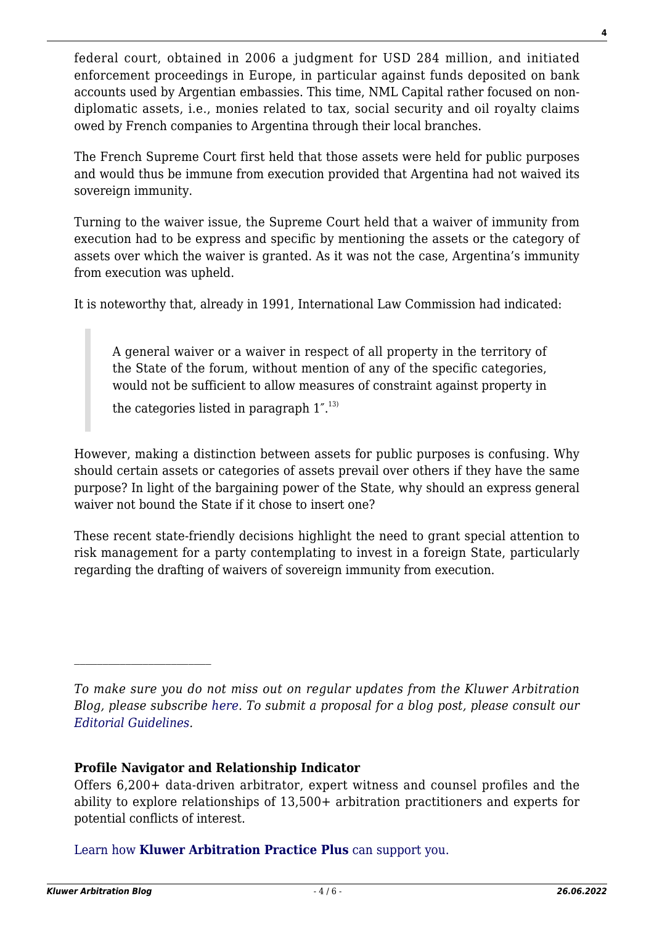federal court, obtained in 2006 a judgment for USD 284 million, and initiated enforcement proceedings in Europe, in particular against funds deposited on bank accounts used by Argentian embassies. This time, NML Capital rather focused on nondiplomatic assets, i.e., monies related to tax, social security and oil royalty claims owed by French companies to Argentina through their local branches.

The French Supreme Court first held that those assets were held for public purposes and would thus be immune from execution provided that Argentina had not waived its sovereign immunity.

Turning to the waiver issue, the Supreme Court held that a waiver of immunity from execution had to be express and specific by mentioning the assets or the category of assets over which the waiver is granted. As it was not the case, Argentina's immunity from execution was upheld.

It is noteworthy that, already in 1991, International Law Commission had indicated:

A general waiver or a waiver in respect of all property in the territory of the State of the forum, without mention of any of the specific categories, would not be sufficient to allow measures of constraint against property in

the categories listed in paragraph  $1^{r}$ .<sup>13)</sup>

However, making a distinction between assets for public purposes is confusing. Why should certain assets or categories of assets prevail over others if they have the same purpose? In light of the bargaining power of the State, why should an express general waiver not bound the State if it chose to insert one?

These recent state-friendly decisions highlight the need to grant special attention to risk management for a party contemplating to invest in a foreign State, particularly regarding the drafting of waivers of sovereign immunity from execution.

#### **Profile Navigator and Relationship Indicator**

[Learn how](https://www.wolterskluwer.com/en/solutions/kluwerarbitration/practiceplus?utm_source=arbitrationblog&utm_medium=articleCTA&utm_campaign=article-banner) **[Kluwer Arbitration Practice Plus](https://www.wolterskluwer.com/en/solutions/kluwerarbitration/practiceplus?utm_source=arbitrationblog&utm_medium=articleCTA&utm_campaign=article-banner)** [can support you.](https://www.wolterskluwer.com/en/solutions/kluwerarbitration/practiceplus?utm_source=arbitrationblog&utm_medium=articleCTA&utm_campaign=article-banner)

*To make sure you do not miss out on regular updates from the Kluwer Arbitration Blog, please subscribe [here](http://arbitrationblog.kluwerarbitration.com/newsletter/). To submit a proposal for a blog post, please consult our [Editorial Guidelines.](http://arbitrationblog.kluwerarbitration.com/editorial-guidelines/)*

Offers 6,200+ data-driven arbitrator, expert witness and counsel profiles and the ability to explore relationships of 13,500+ arbitration practitioners and experts for potential conflicts of interest.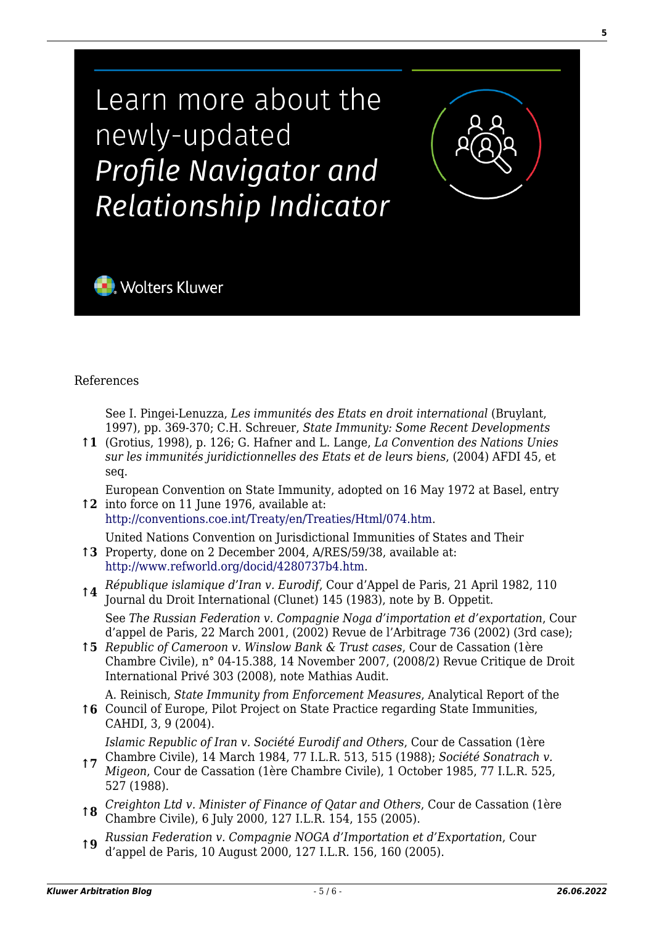Learn more about the newly-updated Profile Navigator and Relationship Indicator



#### References

See I. Pingei-Lenuzza, *Les immunités des Etats en droit international* (Bruylant, 1997), pp. 369-370; C.H. Schreuer, *State Immunity: Some Recent Developments*

**↑1** (Grotius, 1998), p. 126; G. Hafner and L. Lange, *La Convention des Nations Unies sur les immunités juridictionnelles des Etats et de leurs biens*, (2004) AFDI 45, et seq.

**↑2** into force on 11 June 1976, available at: European Convention on State Immunity, adopted on 16 May 1972 at Basel, entry

[http://conventions.coe.int/Treaty/en/Treaties/Html/074.htm.](http://conventions.coe.int/Treaty/en/Treaties/Html/074.htm)

**↑3** Property, done on 2 December 2004, A/RES/59/38, available at: United Nations Convention on Jurisdictional Immunities of States and Their

- [http://www.refworld.org/docid/4280737b4.htm.](http://www.refworld.org/docid/4280737b4.htm)
- **↑4** *République islamique d'Iran v. Eurodif*, Cour d'Appel de Paris, 21 April 1982, 110 Journal du Droit International (Clunet) 145 (1983), note by B. Oppetit. See *The Russian Federation v. Compagnie Noga d'importation et d'exportation*, Cour d'appel de Paris, 22 March 2001, (2002) Revue de l'Arbitrage 736 (2002) (3rd case);
- **↑5** *Republic of Cameroon v. Winslow Bank & Trust cases*, Cour de Cassation (1ère Chambre Civile), n° 04-15.388, 14 November 2007, (2008/2) Revue Critique de Droit International Privé 303 (2008), note Mathias Audit.
- **↑6** Council of Europe, Pilot Project on State Practice regarding State Immunities, A. Reinisch, *State Immunity from Enforcement Measures*, Analytical Report of the CAHDI, 3, 9 (2004). *Islamic Republic of Iran v. Société Eurodif and Others*, Cour de Cassation (1ère

- **↑7** Chambre Civile), 14 March 1984, 77 I.L.R. 513, 515 (1988); *Société Sonatrach v. Migeon*, Cour de Cassation (1ère Chambre Civile), 1 October 1985, 77 I.L.R. 525, 527 (1988).
- **↑8** *Creighton Ltd v. Minister of Finance of Qatar and Others*, Cour de Cassation (1ère Chambre Civile), 6 July 2000, 127 I.L.R. 154, 155 (2005).
- **↑9** *Russian Federation v. Compagnie NOGA d'Importation et d'Exportation*, Cour d'appel de Paris, 10 August 2000, 127 I.L.R. 156, 160 (2005).